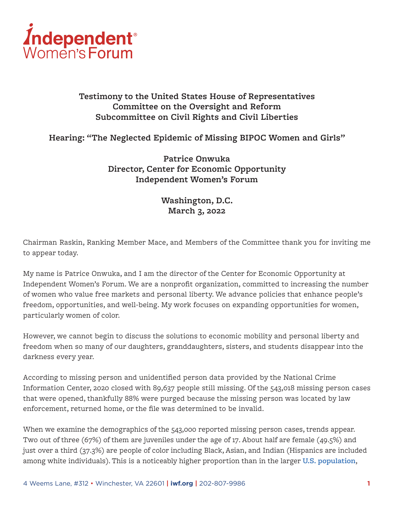

# **Testimony to the United States House of Representatives Committee on the Oversight and Reform Subcommittee on Civil Rights and Civil Liberties**

## **Hearing: "The Neglected Epidemic of Missing BIPOC Women and Girls"**

**Patrice Onwuka Director, Center for Economic Opportunity Independent Women's Forum**

# **Washington, D.C. March 3, 2022**

Chairman Raskin, Ranking Member Mace, and Members of the Committee thank you for inviting me to appear today.

My name is Patrice Onwuka, and I am the director of the Center for Economic Opportunity at Independent Women's Forum. We are a nonprofit organization, committed to increasing the number of women who value free markets and personal liberty. We advance policies that enhance people's freedom, opportunities, and well-being. My work focuses on expanding opportunities for women, particularly women of color.

However, we cannot begin to discuss the solutions to economic mobility and personal liberty and freedom when so many of our daughters, granddaughters, sisters, and students disappear into the darkness every year.

According to missing person and unidentified person data provided by the National Crime Information Center, 2020 closed with 89,637 people still missing. Of the 543,018 missing person cases that were opened, thankfully 88% were purged because the missing person was located by law enforcement, returned home, or the file was determined to be invalid.

When we examine the demographics of the 543,000 reported missing person cases, trends appear. Two out of three (67%) of them are juveniles under the age of 17. About half are female (49.5%) and just over a third (37.3%) are people of color including Black, Asian, and Indian (Hispanics are included among white individuals). This is a noticeably higher proportion than in the larger **[U.S. population](https://www.census.gov/quickfacts/fact/table/US/PST045221)**,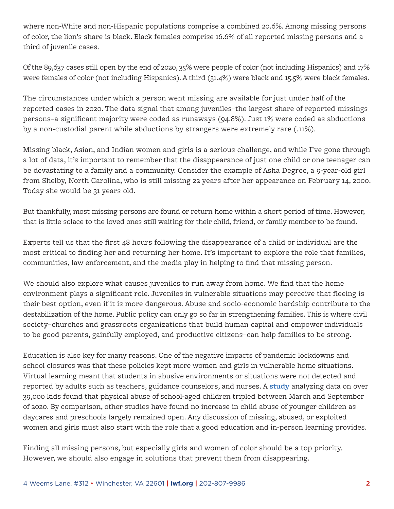where non-White and non-Hispanic populations comprise a combined 20.6%. Among missing persons of color, the lion's share is black. Black females comprise 16.6% of all reported missing persons and a third of juvenile cases.

Of the 89,637 cases still open by the end of 2020, 35% were people of color (not including Hispanics) and 17% were females of color (not including Hispanics). A third (31.4%) were black and 15.5% were black females.

The circumstances under which a person went missing are available for just under half of the reported cases in 2020. The data signal that among juveniles–the largest share of reported missings persons–a significant majority were coded as runaways (94.8%). Just 1% were coded as abductions by a non-custodial parent while abductions by strangers were extremely rare (.11%).

Missing black, Asian, and Indian women and girls is a serious challenge, and while I've gone through a lot of data, it's important to remember that the disappearance of just one child or one teenager can be devastating to a family and a community. Consider the example of Asha Degree, a 9-year-old girl from Shelby, North Carolina, who is still missing 22 years after her appearance on February 14, 2000. Today she would be 31 years old.

But thankfully, most missing persons are found or return home within a short period of time. However, that is little solace to the loved ones still waiting for their child, friend, or family member to be found.

Experts tell us that the first 48 hours following the disappearance of a child or individual are the most critical to finding her and returning her home. It's important to explore the role that families, communities, law enforcement, and the media play in helping to find that missing person.

We should also explore what causes juveniles to run away from home. We find that the home environment plays a significant role. Juveniles in vulnerable situations may perceive that fleeing is their best option, even if it is more dangerous. Abuse and socio-economic hardship contribute to the destabilization of the home. Public policy can only go so far in strengthening families. This is where civil society–churches and grassroots organizations that build human capital and empower individuals to be good parents, gainfully employed, and productive citizens–can help families to be strong.

Education is also key for many reasons. One of the negative impacts of pandemic lockdowns and school closures was that these policies kept more women and girls in vulnerable home situations. Virtual learning meant that students in abusive environments or situations were not detected and reported by adults such as teachers, guidance counselors, and nurses. A **[study](https://www.usnews.com/news/health-news/articles/2021-10-08/study-confirms-rise-in-child-abuse-during-covid-pandemic)** analyzing data on over 39,000 kids found that physical abuse of school-aged children tripled between March and September of 2020. By comparison, other studies have found no increase in child abuse of younger children as daycares and preschools largely remained open. Any discussion of missing, abused, or exploited women and girls must also start with the role that a good education and in-person learning provides.

Finding all missing persons, but especially girls and women of color should be a top priority. However, we should also engage in solutions that prevent them from disappearing.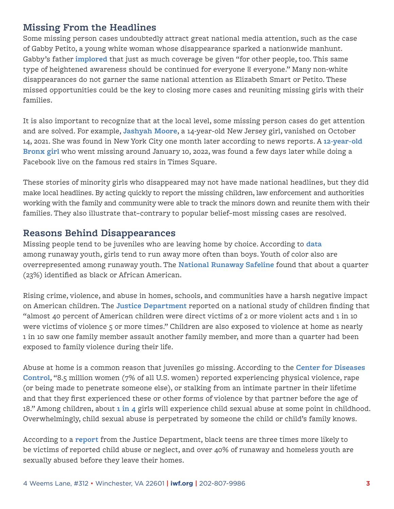# **Missing From the Headlines**

Some missing person cases undoubtedly attract great national media attention, such as the case of Gabby Petito, a young white woman whose disappearance sparked a nationwide manhunt. Gabby's father **[implored](https://www.wfla.com/news/sarasota-county/gabby-petitos-family-thanks-public-for-support-calls-for-more-attention-on-other-missing-persons/)** that just as much coverage be given "for other people, too. This same type of heightened awareness should be continued for everyone everyone." Many non-white disappearances do not garner the same national attention as Elizabeth Smart or Petito. These missed opportunities could be the key to closing more cases and reuniting missing girls with their families.

It is also important to recognize that at the local level, some missing person cases do get attention and are solved. For example, **[Jashyah Moore](https://www.nbcnewyork.com/news/local/jashyah-moore-found-safe-in-nyc-after-teen-was-missing-for-nearly-a-month/3397307/)**, a 14-year-old New Jersey girl, vanished on October 14, 2021. She was found in New York City one month later according to news reports. A **[12-year-old](https://pix11.com/news/themissing/facebook-live-leads-nypd-to-missing-girl-12-on-times-square-red-stairs/)  [Bronx girl](https://pix11.com/news/themissing/facebook-live-leads-nypd-to-missing-girl-12-on-times-square-red-stairs/)** who went missing around January 10, 2022, was found a few days later while doing a Facebook live on the famous red stairs in Times Square.

These stories of minority girls who disappeared may not have made national headlines, but they did make local headlines. By acting quickly to report the missing children, law enforcement and authorities working with the family and community were able to track the minors down and reunite them with their families. They also illustrate that–contrary to popular belief–most missing cases are resolved.

# **Reasons Behind Disappearances**

Missing people tend to be juveniles who are leaving home by choice. According to **[data](https://publications.aap.org/pediatrics/article/145/2/e20193752/68225/Runaway-Youth-Caring-for-the-Nation-s-Largest)** among runaway youth, girls tend to run away more often than boys. Youth of color also are overrepresented among runaway youth. The **[National Runaway Safeline](https://www.1800runaway.org/wp-content/uploads/2018/11/NRS-2018-Trend-Report_Final.pdf)** found that about a quarter (23%) identified as black or African American.

Rising crime, violence, and abuse in homes, schools, and communities have a harsh negative impact on American children. The **[Justice Department](https://www.ojp.gov/program/programs/cev)** reported on a national study of children finding that "almost 40 percent of American children were direct victims of 2 or more violent acts and 1 in 10 were victims of violence 5 or more times." Children are also exposed to violence at home as nearly 1 in 10 saw one family member assault another family member, and more than a quarter had been exposed to family violence during their life.

Abuse at home is a common reason that juveniles go missing. According to the **[Center for Diseases](https://www.cdc.gov/violenceprevention/pdf/ipv-technicalpackages.pdf)  [Control](https://www.cdc.gov/violenceprevention/pdf/ipv-technicalpackages.pdf)**, "8.5 million women (7% of all U.S. women) reported experiencing physical violence, rape (or being made to penetrate someone else), or stalking from an intimate partner in their lifetime and that they first experienced these or other forms of violence by that partner before the age of 18." Among children, about **[1 in 4](https://www.cdc.gov/violenceprevention/childsexualabuse/fastfact.html)** girls will experience child sexual abuse at some point in childhood. Overwhelmingly, child sexual abuse is perpetrated by someone the child or child's family knows.

According to a **[report](https://www.washingtonpost.com/posteverything/wp/2017/04/07/want-to-keep-black-kids-from-running-away-from-home-stop-hitting-them/)** from the Justice Department, black teens are three times more likely to be victims of reported child abuse or neglect, and over 40% of runaway and homeless youth are sexually abused before they leave their homes.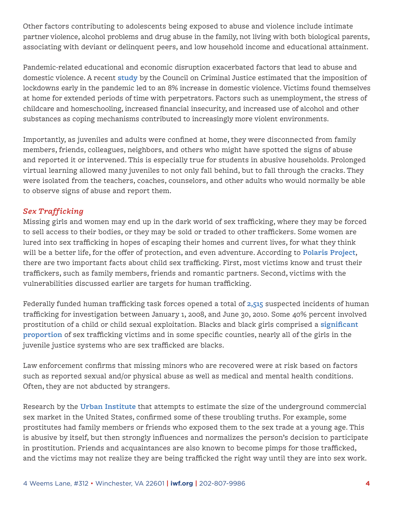Other factors contributing to adolescents being exposed to abuse and violence include intimate partner violence, alcohol problems and drug abuse in the family, not living with both biological parents, associating with deviant or delinquent peers, and low household income and educational attainment.

Pandemic-related educational and economic disruption exacerbated factors that lead to abuse and domestic violence. A recent **[study](https://counciloncj.org/impact-report-covid-19-and-domestic-violence-trends/)** by the Council on Criminal Justice estimated that the imposition of lockdowns early in the pandemic led to an 8% increase in domestic violence. Victims found themselves at home for extended periods of time with perpetrators. Factors such as unemployment, the stress of childcare and homeschooling, increased financial insecurity, and increased use of alcohol and other substances as coping mechanisms contributed to increasingly more violent environments.

Importantly, as juveniles and adults were confined at home, they were disconnected from family members, friends, colleagues, neighbors, and others who might have spotted the signs of abuse and reported it or intervened. This is especially true for students in abusive households. Prolonged virtual learning allowed many juveniles to not only fall behind, but to fall through the cracks. They were isolated from the teachers, coaches, counselors, and other adults who would normally be able to observe signs of abuse and report them.

### *Sex Trafficking*

Missing girls and women may end up in the dark world of sex trafficking, where they may be forced to sell access to their bodies, or they may be sold or traded to other traffickers. Some women are lured into sex trafficking in hopes of escaping their homes and current lives, for what they think will be a better life, for the offer of protection, and even adventure. According to **[Polaris Project](https://polarisproject.org/blog/2020/09/separating-fact-from-fiction-recent-cases-of-recovered-missing-children-and-what-they-show-about-child-sex-trafficking/)**, there are two important facts about child sex trafficking. First, most victims know and trust their traffickers, such as family members, friends and romantic partners. Second, victims with the vulnerabilities discussed earlier are targets for human trafficking.

Federally funded human trafficking task forces opened a total of **[2,515](https://bjs.ojp.gov/content/pub/pdf/cshti0810.pdf)** suspected incidents of human trafficking for investigation between January 1, 2008, and June 30, 2010. Some 40% percent involved prostitution of a child or child sexual exploitation. Blacks and black girls comprised a **[significant](https://rights4girls.org/wp-content/uploads/r4g/2015/02/African-American-Girls-and-Trafficking.pdf)  [proportion](https://rights4girls.org/wp-content/uploads/r4g/2015/02/African-American-Girls-and-Trafficking.pdf)** of sex trafficking victims and in some specific counties, nearly all of the girls in the juvenile justice systems who are sex trafficked are blacks.

Law enforcement confirms that missing minors who are recovered were at risk based on factors such as reported sexual and/or physical abuse as well as medical and mental health conditions. Often, they are not abducted by strangers.

Research by the **[Urban Institute](https://www.urban.org/research/publication/estimating-size-and-structure-underground-commercial-sex-economy-eight-major-us-cities)** that attempts to estimate the size of the underground commercial sex market in the United States, confirmed some of these troubling truths. For example, some prostitutes had family members or friends who exposed them to the sex trade at a young age. This is abusive by itself, but then strongly influences and normalizes the person's decision to participate in prostitution. Friends and acquaintances are also known to become pimps for those trafficked, and the victims may not realize they are being trafficked the right way until they are into sex work.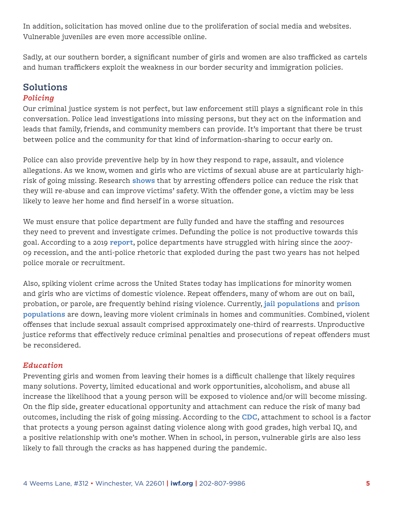In addition, solicitation has moved online due to the proliferation of social media and websites. Vulnerable juveniles are even more accessible online.

Sadly, at our southern border, a significant number of girls and women are also trafficked as cartels and human traffickers exploit the weakness in our border security and immigration policies.

# **Solutions**

### *Policing*

Our criminal justice system is not perfect, but law enforcement still plays a significant role in this conversation. Police lead investigations into missing persons, but they act on the information and leads that family, friends, and community members can provide. It's important that there be trust between police and the community for that kind of information-sharing to occur early on.

Police can also provide preventive help by in how they respond to rape, assault, and violence allegations. As we know, women and girls who are victims of sexual abuse are at particularly highrisk of going missing. Research **[shows](https://www.ojp.gov/pdffiles1/nij/225722.pdf)** that by arresting offenders police can reduce the risk that they will re-abuse and can improve victims' safety. With the offender gone, a victim may be less likely to leave her home and find herself in a worse situation.

We must ensure that police department are fully funded and have the staffing and resources they need to prevent and investigate crimes. Defunding the police is not productive towards this goal. According to a 2019 **[report](https://www.policeforum.org/assets/WorkforceCrisis.pdf)**, police departments have struggled with hiring since the 2007- 09 recession, and the anti-police rhetoric that exploded during the past two years has not helped police morale or recruitment.

Also, spiking violent crime across the United States today has implications for minority women and girls who are victims of domestic violence. Repeat offenders, many of whom are out on bail, probation, or parole, are frequently behind rising violence. Currently, **[jail populations](https://www.ahdatalytics.com/dashboards/national-jail-population/)** and **[prison](https://bjs.ojp.gov/content/pub/pdf/p19.pdf)  [populations](https://bjs.ojp.gov/content/pub/pdf/p19.pdf)** are down, leaving more violent criminals in homes and communities. Combined, violent offenses that include sexual assault comprised approximately one-third of rearrests. Unproductive justice reforms that effectively reduce criminal penalties and prosecutions of repeat offenders must be reconsidered.

### *Education*

Preventing girls and women from leaving their homes is a difficult challenge that likely requires many solutions. Poverty, limited educational and work opportunities, alcoholism, and abuse all increase the likelihood that a young person will be exposed to violence and/or will become missing. On the flip side, greater educational opportunity and attachment can reduce the risk of many bad outcomes, including the risk of going missing. According to the **[CDC](https://www.cdc.gov/violenceprevention/pdf/ipv-technicalpackages.pdf)**, attachment to school is a factor that protects a young person against dating violence along with good grades, high verbal IQ, and a positive relationship with one's mother. When in school, in person, vulnerable girls are also less likely to fall through the cracks as has happened during the pandemic.